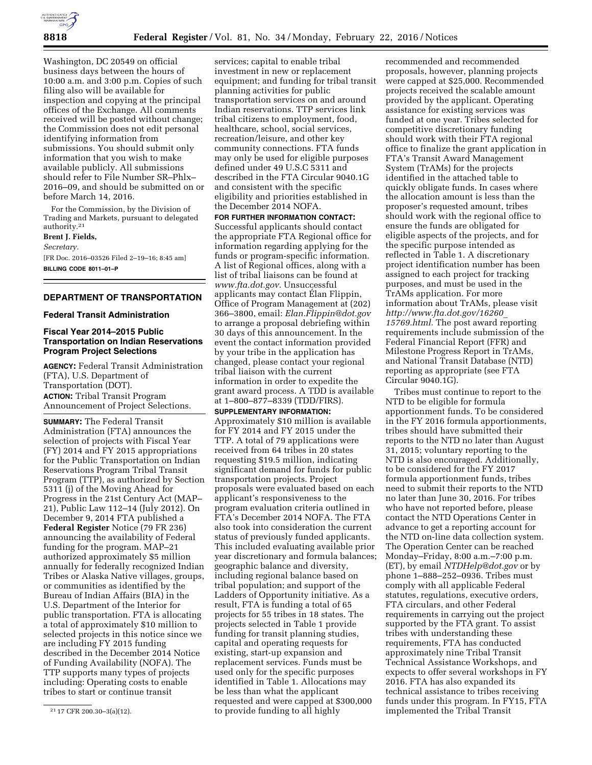

Washington, DC 20549 on official business days between the hours of 10:00 a.m. and 3:00 p.m. Copies of such filing also will be available for inspection and copying at the principal offices of the Exchange. All comments received will be posted without change; the Commission does not edit personal identifying information from submissions. You should submit only information that you wish to make available publicly. All submissions should refer to File Number SR–Phlx– 2016–09, and should be submitted on or before March 14, 2016.

For the Commission, by the Division of Trading and Markets, pursuant to delegated authority.21

**Brent J. Fields,**  *Secretary.* 

[FR Doc. 2016–03526 Filed 2–19–16; 8:45 am] **BILLING CODE 8011–01–P** 

# **DEPARTMENT OF TRANSPORTATION**

#### **Federal Transit Administration**

## **Fiscal Year 2014–2015 Public Transportation on Indian Reservations Program Project Selections**

**AGENCY:** Federal Transit Administration (FTA), U.S. Department of Transportation (DOT). **ACTION:** Tribal Transit Program Announcement of Project Selections.

**SUMMARY:** The Federal Transit Administration (FTA) announces the selection of projects with Fiscal Year (FY) 2014 and FY 2015 appropriations for the Public Transportation on Indian Reservations Program Tribal Transit Program (TTP), as authorized by Section 5311 (j) of the Moving Ahead for Progress in the 21st Century Act (MAP– 21), Public Law 112–14 (July 2012). On December 9, 2014 FTA published a **Federal Register** Notice (79 FR 236) announcing the availability of Federal funding for the program. MAP–21 authorized approximately \$5 million annually for federally recognized Indian Tribes or Alaska Native villages, groups, or communities as identified by the Bureau of Indian Affairs (BIA) in the U.S. Department of the Interior for public transportation. FTA is allocating a total of approximately \$10 million to selected projects in this notice since we are including FY 2015 funding described in the December 2014 Notice of Funding Availability (NOFA). The TTP supports many types of projects including: Operating costs to enable tribes to start or continue transit

services; capital to enable tribal investment in new or replacement equipment; and funding for tribal transit planning activities for public transportation services on and around Indian reservations. TTP services link tribal citizens to employment, food, healthcare, school, social services, recreation/leisure, and other key community connections. FTA funds may only be used for eligible purposes defined under 49 U.S.C 5311 and described in the FTA Circular 9040.1G and consistent with the specific eligibility and priorities established in the December 2014 NOFA.

**FOR FURTHER INFORMATION CONTACT:**  Successful applicants should contact the appropriate FTA Regional office for information regarding applying for the funds or program-specific information. A list of Regional offices, along with a list of tribal liaisons can be found at *[www.fta.dot.gov.](http://www.fta.dot.gov)* Unsuccessful applicants may contact Elan Flippin, Office of Program Management at (202) 366–3800, email: *[Elan.Flippin@dot.gov](mailto:Elan.Flippin@dot.gov)*  to arrange a proposal debriefing within 30 days of this announcement. In the event the contact information provided by your tribe in the application has changed, please contact your regional tribal liaison with the current information in order to expedite the grant award process. A TDD is available at 1–800–877–8339 (TDD/FIRS).

**SUPPLEMENTARY INFORMATION:** 

Approximately \$10 million is available for FY 2014 and FY 2015 under the TTP. A total of 79 applications were received from 64 tribes in 20 states requesting \$19.5 million, indicating significant demand for funds for public transportation projects. Project proposals were evaluated based on each applicant's responsiveness to the program evaluation criteria outlined in FTA's December 2014 NOFA. The FTA also took into consideration the current status of previously funded applicants. This included evaluating available prior year discretionary and formula balances; geographic balance and diversity, including regional balance based on tribal population; and support of the Ladders of Opportunity initiative. As a result, FTA is funding a total of 65 projects for 55 tribes in 18 states. The projects selected in Table 1 provide funding for transit planning studies, capital and operating requests for existing, start-up expansion and replacement services. Funds must be used only for the specific purposes identified in Table 1. Allocations may be less than what the applicant requested and were capped at \$300,000 to provide funding to all highly

recommended and recommended proposals, however, planning projects were capped at \$25,000. Recommended projects received the scalable amount provided by the applicant. Operating assistance for existing services was funded at one year. Tribes selected for competitive discretionary funding should work with their FTA regional office to finalize the grant application in FTA's Transit Award Management System (TrAMs) for the projects identified in the attached table to quickly obligate funds. In cases where the allocation amount is less than the proposer's requested amount, tribes should work with the regional office to ensure the funds are obligated for eligible aspects of the projects, and for the specific purpose intended as reflected in Table 1. A discretionary project identification number has been assigned to each project for tracking purposes, and must be used in the TrAMs application. For more information about TrAMs, please visit *[http://www.fta.dot.gov/16260](http://www.fta.dot.gov/16260_15769.html)*\_ *[15769.html.](http://www.fta.dot.gov/16260_15769.html)* The post award reporting requirements include submission of the Federal Financial Report (FFR) and Milestone Progress Report in TrAMs, and National Transit Database (NTD) reporting as appropriate (see FTA Circular 9040.1G).

Tribes must continue to report to the NTD to be eligible for formula apportionment funds. To be considered in the FY 2016 formula apportionments, tribes should have submitted their reports to the NTD no later than August 31, 2015; voluntary reporting to the NTD is also encouraged. Additionally, to be considered for the FY 2017 formula apportionment funds, tribes need to submit their reports to the NTD no later than June 30, 2016. For tribes who have not reported before, please contact the NTD Operations Center in advance to get a reporting account for the NTD on-line data collection system. The Operation Center can be reached Monday–Friday, 8:00 a.m.–7:00 p.m. (ET), by email *[NTDHelp@dot.gov](mailto:NTDHelp@dot.gov)* or by phone 1–888–252–0936. Tribes must comply with all applicable Federal statutes, regulations, executive orders, FTA circulars, and other Federal requirements in carrying out the project supported by the FTA grant. To assist tribes with understanding these requirements, FTA has conducted approximately nine Tribal Transit Technical Assistance Workshops, and expects to offer several workshops in FY 2016. FTA has also expanded its technical assistance to tribes receiving funds under this program. In FY15, FTA implemented the Tribal Transit

<sup>21</sup> 17 CFR 200.30–3(a)(12).